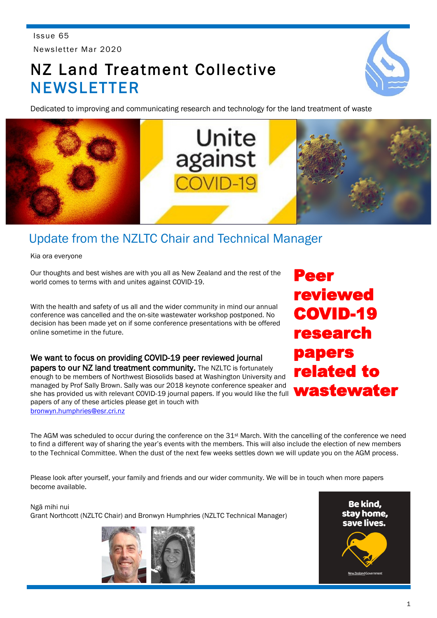Issue 65 Newsletter Mar 2020

# NZ Land Treatment Collective **NEWSLETTER**

Dedicated to improving and communicating research and technology for the land treatment of waste



# Update from the NZLTC Chair and Technical Manager

Kia ora everyone

Our thoughts and best wishes are with you all as New Zealand and the rest of the world comes to terms with and unites against COVID-19.

With the health and safety of us all and the wider community in mind our annual conference was cancelled and the on-site wastewater workshop postponed. No decision has been made yet on if some conference presentations with be offered online sometime in the future.

We want to focus on providing COVID-19 peer reviewed journal papers to our NZ land treatment community. The NZLTC is fortunately enough to be members of Northwest Biosolids based at Washington University and managed by Prof Sally Brown. Sally was our 2018 keynote conference speaker and she has provided us with relevant COVID-19 journal papers. If you would like the full papers of any of these articles please get in touch with [bronwyn.humphries@esr.cri.nz](mailto:bronwyn.humphries@esr.cri.nz)

Peer reviewed COVID-19 research papers related to wastewater

The AGM was scheduled to occur during the conference on the 31st March. With the cancelling of the conference we need to find a different way of sharing the year's events with the members. This will also include the election of new members to the Technical Committee. When the dust of the next few weeks settles down we will update you on the AGM process.

Please look after yourself, your family and friends and our wider community. We will be in touch when more papers become available.

Ngā mihi nui Grant Northcott (NZLTC Chair) and Bronwyn Humphries (NZLTC Technical Manager)



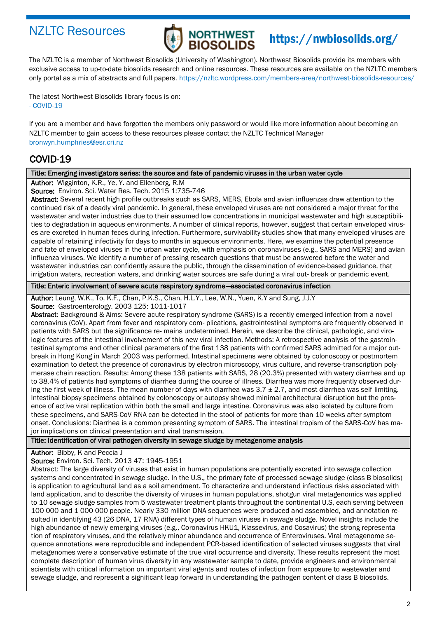## NZLTC Resources



# https://nwbiosolids.org/

The NZLTC is a member of Northwest Biosolids (University of Washington). Northwest Biosolids provide its members with exclusive access to up-to-date biosolids research and online resources. These resources are available on the NZLTC members only portal as a mix of abstracts and full papers. https://nzltc.wordpress.com/members-area/northwest-biosolids-resources/

The latest Northwest Biosolids library focus is on: - COVID-19

If you are a member and have forgotten the members only password or would like more information about becoming an NZLTC member to gain access to these resources please contact the NZLTC Technical Manager bronwyn.humphries@esr.cri.nz

## COVID-19

### Title: Emerging investigators series: the source and fate of pandemic viruses in the urban water cycle

Author: Wigginton, K.R., Ye, Y. and Ellenberg, R.M

Source: Environ. Sci. Water Res. Tech. 2015 1:735-746

Abstract: Several recent high profile outbreaks such as SARS, MERS, Ebola and avian influenzas draw attention to the continued risk of a deadly viral pandemic. In general, these enveloped viruses are not considered a major threat for the wastewater and water industries due to their assumed low concentrations in municipal wastewater and high susceptibilities to degradation in aqueous environments. A number of clinical reports, however, suggest that certain enveloped viruses are excreted in human feces during infection. Furthermore, survivability studies show that many enveloped viruses are capable of retaining infectivity for days to months in aqueous environments. Here, we examine the potential presence and fate of enveloped viruses in the urban water cycle, with emphasis on coronaviruses (e.g., SARS and MERS) and avian influenza viruses. We identify a number of pressing research questions that must be answered before the water and wastewater industries can confidently assure the public, through the dissemination of evidence-based guidance, that irrigation waters, recreation waters, and drinking water sources are safe during a viral out- break or pandemic event.

Title: Enteric involvement of severe acute respiratory syndrome—associated coronavirus infection

Author: Leung, W.K., To, K.F., Chan, P.K.S., Chan, H.L.Y., Lee, W.N., Yuen, K.Y and Sung, J.J.Y Source: Gastroenterology. 2003 125: 1011-1017

Abstract: Background & Aims: Severe acute respiratory syndrome (SARS) is a recently emerged infection from a novel coronavirus (CoV). Apart from fever and respiratory com- plications, gastrointestinal symptoms are frequently observed in patients with SARS but the significance re- mains undetermined. Herein, we describe the clinical, pathologic, and virologic features of the intestinal involvement of this new viral infection. Methods: A retrospective analysis of the gastrointestinal symptoms and other clinical parameters of the first 138 patients with confirmed SARS admitted for a major outbreak in Hong Kong in March 2003 was performed. Intestinal specimens were obtained by colonoscopy or postmortem examination to detect the presence of coronavirus by electron microscopy, virus culture, and reverse-transcription polymerase chain reaction. Results: Among these 138 patients with SARS, 28 (20.3%) presented with watery diarrhea and up to 38.4% of patients had symptoms of diarrhea during the course of illness. Diarrhea was more frequently observed during the first week of illness. The mean number of days with diarrhea was  $3.7 \pm 2.7$ , and most diarrhea was self-limiting. Intestinal biopsy specimens obtained by colonoscopy or autopsy showed minimal architectural disruption but the presence of active viral replication within both the small and large intestine. Coronavirus was also isolated by culture from these specimens, and SARS-CoV RNA can be detected in the stool of patients for more than 10 weeks after symptom onset. Conclusions: Diarrhea is a common presenting symptom of SARS. The intestinal tropism of the SARS-CoV has major implications on clinical presentation and viral transmission.

## Title: Identification of viral pathogen diversity in sewage sludge by metagenome analysis

Author: Bibby, K and Peccia J

Source: Environ. Sci. Tech. 2013 47: 1945-1951

Abstract: The large diversity of viruses that exist in human populations are potentially excreted into sewage collection systems and concentrated in sewage sludge. In the U.S., the primary fate of processed sewage sludge (class B biosolids) is application to agricultural land as a soil amendment. To characterize and understand infectious risks associated with land application, and to describe the diversity of viruses in human populations, shotgun viral metagenomics was applied to 10 sewage sludge samples from 5 wastewater treatment plants throughout the continental U.S, each serving between 100 000 and 1 000 000 people. Nearly 330 million DNA sequences were produced and assembled, and annotation resulted in identifying 43 (26 DNA, 17 RNA) different types of human viruses in sewage sludge. Novel insights include the high abundance of newly emerging viruses (e.g., Coronavirus HKU1, Klassevirus, and Cosavirus) the strong representation of respiratory viruses, and the relatively minor abundance and occurrence of Enteroviruses. Viral metagenome sequence annotations were reproducible and independent PCR-based identification of selected viruses suggests that viral metagenomes were a conservative estimate of the true viral occurrence and diversity. These results represent the most complete description of human virus diversity in any wastewater sample to date, provide engineers and environmental scientists with critical information on important viral agents and routes of infection from exposure to wastewater and sewage sludge, and represent a significant leap forward in understanding the pathogen content of class B biosolids.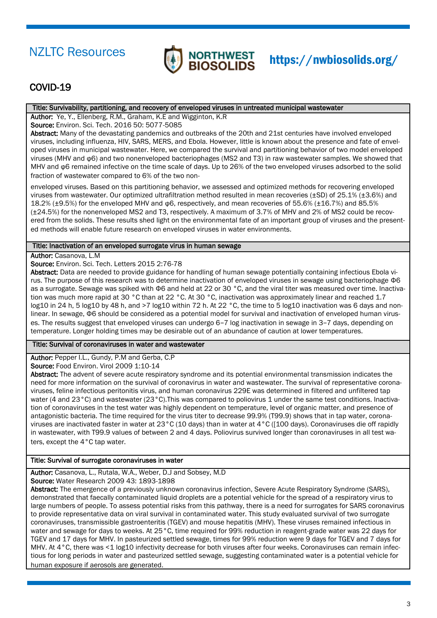

## COVID-19

### Title: Survivability, partitioning, and recovery of enveloped viruses in untreated municipal wastewater

Author: Ye, Y., Ellenberg, R.M., Graham, K.E and Wigginton, K.R

Source: Environ. Sci. Tech. 2016 50: 5077-5085

Abstract: Many of the devastating pandemics and outbreaks of the 20th and 21st centuries have involved enveloped viruses, including influenza, HIV, SARS, MERS, and Ebola. However, little is known about the presence and fate of enveloped viruses in municipal wastewater. Here, we compared the survival and partitioning behavior of two model enveloped viruses (MHV and φ6) and two nonenveloped bacteriophages (MS2 and T3) in raw wastewater samples. We showed that MHV and φ6 remained infective on the time scale of days. Up to 26% of the two enveloped viruses adsorbed to the solid fraction of wastewater compared to 6% of the two non-

enveloped viruses. Based on this partitioning behavior, we assessed and optimized methods for recovering enveloped viruses from wastewater. Our optimized ultrafiltration method resulted in mean recoveries (±SD) of 25.1% (±3.6%) and 18.2% (±9.5%) for the enveloped MHV and φ6, respectively, and mean recoveries of 55.6% (±16.7%) and 85.5% (±24.5%) for the nonenveloped MS2 and T3, respectively. A maximum of 3.7% of MHV and 2% of MS2 could be recovered from the solids. These results shed light on the environmental fate of an important group of viruses and the presented methods will enable future research on enveloped viruses in water environments.

### Title: Inactivation of an enveloped surrogate virus in human sewage

Author: Casanova, L.M

Source: Environ. Sci. Tech. Letters 2015 2:76-78

Abstract: Data are needed to provide guidance for handling of human sewage potentially containing infectious Ebola virus. The purpose of this research was to determine inactivation of enveloped viruses in sewage using bacteriophage Φ6 as a surrogate. Sewage was spiked with Φ6 and held at 22 or 30 °C, and the viral titer was measured over time. Inactivation was much more rapid at 30 °C than at 22 °C. At 30 °C, inactivation was approximately linear and reached 1.7 log10 in 24 h, 5 log10 by 48 h, and >7 log10 within 72 h. At 22 °C, the time to 5 log10 inactivation was 6 days and nonlinear. In sewage, Φ6 should be considered as a potential model for survival and inactivation of enveloped human viruses. The results suggest that enveloped viruses can undergo 6−7 log inactivation in sewage in 3−7 days, depending on temperature. Longer holding times may be desirable out of an abundance of caution at lower temperatures.

## Title: Survival of coronaviruses in water and wastewater

Author: Pepper I.L., Gundy, P.M and Gerba, C.P

Source: Food Environ. Virol 2009 1:10-14

Abstract: The advent of severe acute respiratory syndrome and its potential environmental transmission indicates the need for more information on the survival of coronavirus in water and wastewater. The survival of representative coronaviruses, feline infectious peritonitis virus, and human coronavirus 229E was determined in filtered and unfiltered tap water (4 and 23°C) and wastewater (23°C). This was compared to poliovirus 1 under the same test conditions. Inactivation of coronaviruses in the test water was highly dependent on temperature, level of organic matter, and presence of antagonistic bacteria. The time required for the virus titer to decrease 99.9% (T99.9) shows that in tap water, coronaviruses are inactivated faster in water at 23°C (10 days) than in water at 4°C ([100 days). Coronaviruses die off rapidly in wastewater, with T99.9 values of between 2 and 4 days. Poliovirus survived longer than coronaviruses in all test waters, except the 4°C tap water.

## Title: Survival of surrogate coronaviruses in water

Author: Casanova, L., Rutala, W.A., Weber, D.J and Sobsey, M.D

Source: Water Research 2009 43: 1893-1898

Abstract: The emergence of a previously unknown coronavirus infection, Severe Acute Respiratory Syndrome (SARS), demonstrated that faecally contaminated liquid droplets are a potential vehicle for the spread of a respiratory virus to large numbers of people. To assess potential risks from this pathway, there is a need for surrogates for SARS coronavirus to provide representative data on viral survival in contaminated water. This study evaluated survival of two surrogate coronaviruses, transmissible gastroenteritis (TGEV) and mouse hepatitis (MHV). These viruses remained infectious in water and sewage for days to weeks. At 25 °C, time required for 99% reduction in reagent-grade water was 22 days for TGEV and 17 days for MHV. In pasteurized settled sewage, times for 99% reduction were 9 days for TGEV and 7 days for MHV. At  $4\degree$ C, there was <1 log10 infectivity decrease for both viruses after four weeks. Coronaviruses can remain infectious for long periods in water and pasteurized settled sewage, suggesting contaminated water is a potential vehicle for human exposure if aerosols are generated.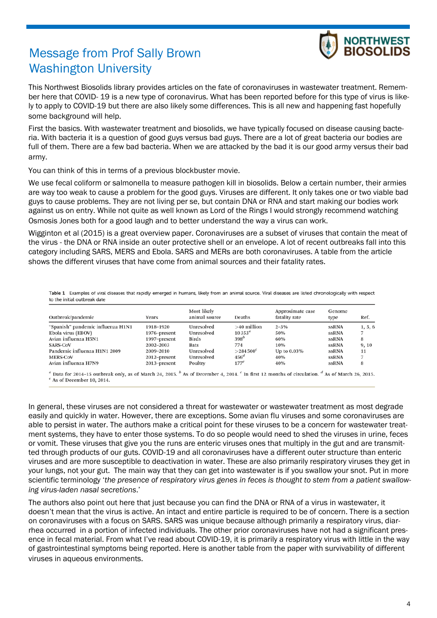# Message from Prof Sally Brown Washington University



This Northwest Biosolids library provides articles on the fate of coronaviruses in wastewater treatment. Remember here that COVID- 19 is a new type of coronavirus. What has been reported before for this type of virus is likely to apply to COVID-19 but there are also likely some differences. This is all new and happening fast hopefully some background will help.

First the basics. With wastewater treatment and biosolids, we have typically focused on disease causing bacteria. With bacteria it is a question of good guys versus bad guys. There are a lot of great bacteria our bodies are full of them. There are a few bad bacteria. When we are attacked by the bad it is our good army versus their bad army.

You can think of this in terms of a previous blockbuster movie.

We use fecal coliform or salmonella to measure pathogen kill in biosolids. Below a certain number, their armies are way too weak to cause a problem for the good guys. Viruses are different. It only takes one or two viable bad guys to cause problems. They are not living per se, but contain DNA or RNA and start making our bodies work against us on entry. While not quite as well known as Lord of the Rings I would strongly recommend watching Osmosis Jones both for a good laugh and to better understand the way a virus can work.

Wigginton et al (2015) is a great overview paper. Coronaviruses are a subset of viruses that contain the meat of the virus - the DNA or RNA inside an outer protective shell or an envelope. A lot of recent outbreaks fall into this category including SARS, MERS and Ebola. SARS and MERs are both coronaviruses. A table from the article shows the different viruses that have come from animal sources and their fatality rates.

Table 1 Examples of viral diseases that rapidly emerged in humans, likely from an animal source. Viral diseases are listed chronologically with respect to the initial outbreak date

| Outbreak/pandemic                 | Years        | Most likely<br>animal source | Deaths           | Approximate case<br>fatality rate | Genome<br>type | Ref.    |
|-----------------------------------|--------------|------------------------------|------------------|-----------------------------------|----------------|---------|
| "Spanish" pandemic influenza H1N1 | 1918–1920    | Unresolved                   | $>40$ million    | $2 - 3\%$                         | ssRNA          | 1, 5, 6 |
| Ebola virus (EBOV)                | 1976–present | Unresolved                   | $10353^a$        | 50%                               | <b>ssRNA</b>   |         |
| Avian influenza H5N1              | 1997-present | <b>Birds</b>                 | 398 <sup>b</sup> | 60%                               | ssRNA          | 8       |
| <b>SARS-CoV</b>                   | 2002-2003    | <b>Bats</b>                  | 774              | 10%                               | <b>ssRNA</b>   | 9, 10   |
| Pandemic influenza H1N1 2009      | 2009–2010    | Unresolved                   | $>$ 284 500 $^c$ | Up to $0.03\%$                    | ssRNA          | 11      |
| <b>MERS-CoV</b>                   | 2012-present | Unresolved                   | $456^d$          | 40%                               | ssRNA          |         |
| Avian influenza H7N9              | 2013-present | Poultry                      | $177^e$          | 40%                               | <b>ssRNA</b>   | 8       |

Data for 2014–15 outbreak only, as of March 24, 2015. <sup>5</sup> As of December 4, 2014. <sup>c</sup> In first 12 months of circulation. <sup>4</sup> As of March 26, 2015.  $e$  As of December 10, 2014.

In general, these viruses are not considered a threat for wastewater or wastewater treatment as most degrade easily and quickly in water. However, there are exceptions. Some avian flu viruses and some coronaviruses are able to persist in water. The authors make a critical point for these viruses to be a concern for wastewater treatment systems, they have to enter those systems. To do so people would need to shed the viruses in urine, feces or vomit. These viruses that give you the runs are enteric viruses ones that multiply in the gut and are transmitted through products of our guts. COVID-19 and all coronaviruses have a different outer structure than enteric viruses and are more susceptible to deactivation in water. These are also primarily respiratory viruses they get in your lungs, not your gut. The main way that they can get into wastewater is if you swallow your snot. Put in more scientific terminology '*the presence of respiratory virus genes in feces is thought to stem from a patient swallowing virus-laden nasal secretions*.'

The authors also point out here that just because you can find the DNA or RNA of a virus in wastewater, it doesn't mean that the virus is active. An intact and entire particle is required to be of concern. There is a section on coronaviruses with a focus on SARS. SARS was unique because although primarily a respiratory virus, diarrhea occurred in a portion of infected individuals. The other prior coronaviruses have not had a significant presence in fecal material. From what I've read about COVID-19, it is primarily a respiratory virus with little in the way of gastrointestinal symptoms being reported. Here is another table from the paper with survivability of different viruses in aqueous environments.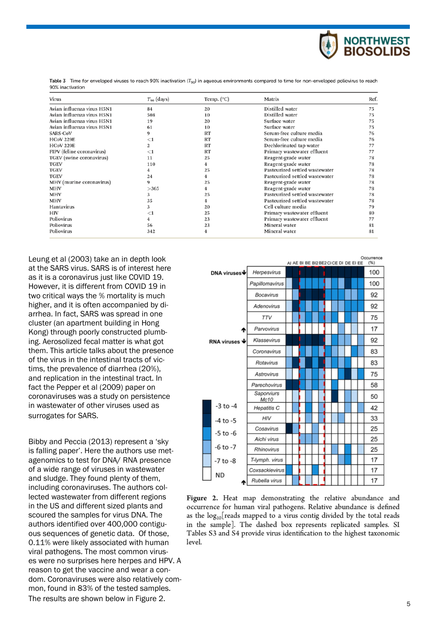

Table 3 Time for enveloped viruses to reach 90% inactivation ( $T_{90}$ ) in aqueous environments compared to time for non-enveloped poliovirus to reach 90% inactivation

| Virus                      | $T_{90}$ (days) | Temp. $(^{\circ}C)$ | Matrix                         | Ref |
|----------------------------|-----------------|---------------------|--------------------------------|-----|
| Avian influenza virus H5N1 | 84              | 20                  | Distilled water                | 75  |
| Avian influenza virus H5N1 | 508             | 10                  | Distilled water                | 75  |
| Avian influenza virus H5N1 | 19              | 20                  | Surface water                  | 75  |
| Avian influenza virus H5N1 | 61              | 10                  | Surface water                  | 75  |
| <b>SARS-CoV</b>            | 9               | RT                  | Serum-free culture media       | 76  |
| <b>HCoV 229E</b>           | $<$ 1           | RT                  | Serum-free culture media       | 76  |
| <b>HCoV 229E</b>           | 2               | <b>RT</b>           | Dechlorinated tap water        | 77  |
| FIPV (feline coronavirus)  | $<$ 1           | <b>RT</b>           | Primary wastewater effluent    | 77  |
| TGEV (swine coronavirus)   | 11              | 25                  | Reagent-grade water            | 78  |
| <b>TGEV</b>                | 110             | 4                   | Reagent-grade water            | 78  |
| <b>TGEV</b>                |                 | 25                  | Pasteurized settled wastewater | 78  |
| <b>TGEV</b>                | 24              | 4                   | Pasteurized settled wastewater | 78  |
| MHV (murine coronavirus)   | 9               | 25                  | Reagent-grade water            | 78  |
| <b>MHV</b>                 | >365            | 4                   | Reagent-grade water            | 78  |
| <b>MHV</b>                 | 3               | 25                  | Pasteurized settled wastewater | 78  |
| <b>MHV</b>                 | 35              | 4                   | Pasteurized settled wastewater | 78  |
| Hantavirus                 | 3               | 20                  | Cell culture media             | 79  |
| HIV                        | ${<}1$          | 25                  | Primary wastewater effluent    | 80  |
| Poliovirus                 |                 | 23                  | Primary wastewater effluent    | 77  |
| Poliovirus                 | 56              | 23                  | Mineral water                  | 81  |
| Poliovirus                 | 342             | 4                   | Mineral water                  | 81  |

Leung et al (2003) take an in depth look at the SARS virus. SARS is of interest here as it is a coronavirus just like COVID 19. However, it is different from COVID 19 in two critical ways the % mortality is much higher, and it is often accompanied by diarrhea. In fact, SARS was spread in one cluster (an apartment building in Hong Kong) through poorly constructed plumbing. Aerosolized fecal matter is what got them. This article talks about the presence of the virus in the intestinal tracts of victims, the prevalence of diarrhea (20%), and replication in the intestinal tract. In fact the Pepper et al (2009) paper on coronaviruses was a study on persistence in wastewater of other viruses used as surrogates for SARS.

Bibby and Peccia (2013) represent a 'sky is falling paper'. Here the authors use metagenomics to test for DNA/ RNA presence of a wide range of viruses in wastewater and sludge. They found plenty of them, including coronaviruses. The authors collected wastewater from different regions in the US and different sized plants and scoured the samples for virus DNA. The authors identified over 400,000 contiguous sequences of genetic data. Of those, 0.11% were likely associated with human viral pathogens. The most common viruses were no surprises here herpes and HPV. A reason to get the vaccine and wear a condom. Coronaviruses were also relatively common, found in 83% of the tested samples. The results are shown below in Figure 2.



Figure 2. Heat map demonstrating the relative abundance and occurrence for human viral pathogens. Relative abundance is defined as the  $log_{10}$ [reads mapped to a virus contig divided by the total reads in the sample]. The dashed box represents replicated samples. SI Tables S3 and S4 provide virus identification to the highest taxonomic level.